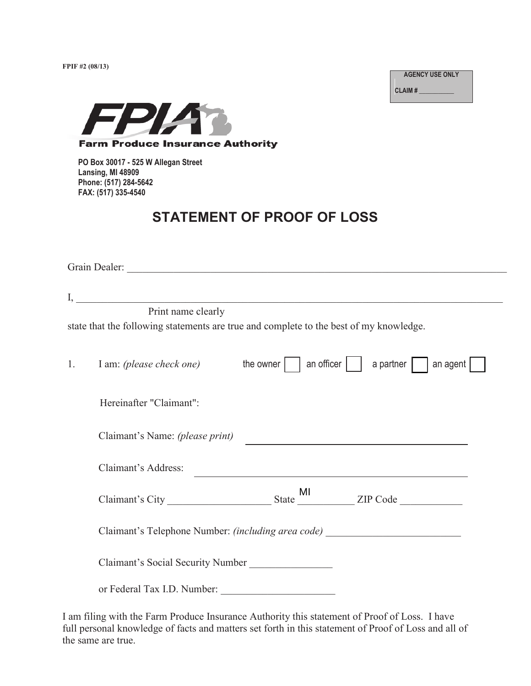**FPIF #2 (08/13)** 

**AGENCY USE ONLY**

**CLAIM # \_\_\_\_\_\_\_\_\_\_\_**



**PO Box 30017 - 525 W Allegan Street Lansing, MI 48909 Phone: (517) 284-5642 FAX: (517) 335-4540**

# **STATEMENT OF PROOF OF LOSS**

|    | Print name clearly<br>state that the following statements are true and complete to the best of my knowledge. |                                                              |
|----|--------------------------------------------------------------------------------------------------------------|--------------------------------------------------------------|
| 1. | I am: (please check one) the owner     an officer     a partner     an agent                                 |                                                              |
|    | Hereinafter "Claimant":                                                                                      |                                                              |
|    | Claimant's Name: (please print)                                                                              | <u> 1989 - Johann Barbara, martxa eta idazlea (h. 1989).</u> |
|    | Claimant's Address:                                                                                          |                                                              |
|    |                                                                                                              |                                                              |
|    | Claimant's Telephone Number: (including area code) _____________________________                             |                                                              |
|    | Claimant's Social Security Number                                                                            |                                                              |
|    | or Federal Tax I.D. Number:                                                                                  |                                                              |

I am filing with the Farm Produce Insurance Authority this statement of Proof of Loss. I have full personal knowledge of facts and matters set forth in this statement of Proof of Loss and all of the same are true.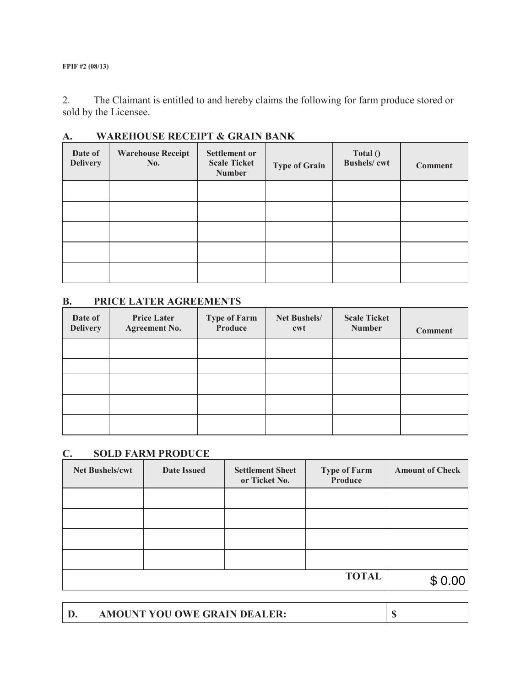**FPIF #2 (08/13)** 

2. The Claimant is entitled to and hereby claims the following for farm produce stored or sold by the Licensee.

| Date of<br><b>Delivery</b> | <b>Warehouse Receipt</b><br>No. | <b>Settlement or</b><br><b>Scale Ticket</b><br><b>Number</b> | <b>Type of Grain</b> | Total()<br><b>Bushels/cwt</b> | <b>Comment</b> |
|----------------------------|---------------------------------|--------------------------------------------------------------|----------------------|-------------------------------|----------------|
|                            |                                 |                                                              |                      |                               |                |
|                            |                                 |                                                              |                      |                               |                |
|                            |                                 |                                                              |                      |                               |                |
|                            |                                 |                                                              |                      |                               |                |
|                            |                                 |                                                              |                      |                               |                |

# **A. WAREHOUSE RECEIPT & GRAIN BANK**

### **B. PRICE LATER AGREEMENTS**

| Date of<br><b>Delivery</b> | <b>Price Later</b><br><b>Agreement No.</b> | <b>Type of Farm</b><br>Produce | Net Bushels/<br>cwt | <b>Scale Ticket</b><br><b>Number</b> | <b>Comment</b> |
|----------------------------|--------------------------------------------|--------------------------------|---------------------|--------------------------------------|----------------|
|                            |                                            |                                |                     |                                      |                |
|                            |                                            |                                |                     |                                      |                |
|                            |                                            |                                |                     |                                      |                |
|                            |                                            |                                |                     |                                      |                |
|                            |                                            |                                |                     |                                      |                |

# **C. SOLD FARM PRODUCE**

| Net Bushels/cwt | <b>Date Issued</b> | <b>Settlement Sheet</b><br>or Ticket No. | <b>Type of Farm</b><br>Produce | <b>Amount of Check</b> |
|-----------------|--------------------|------------------------------------------|--------------------------------|------------------------|
|                 |                    |                                          |                                |                        |
|                 |                    |                                          |                                |                        |
|                 |                    |                                          |                                |                        |
|                 |                    |                                          |                                |                        |
|                 |                    |                                          | <b>TOTAL</b>                   |                        |

**D. AMOUNT YOU OWE GRAIN DEALER: \$**